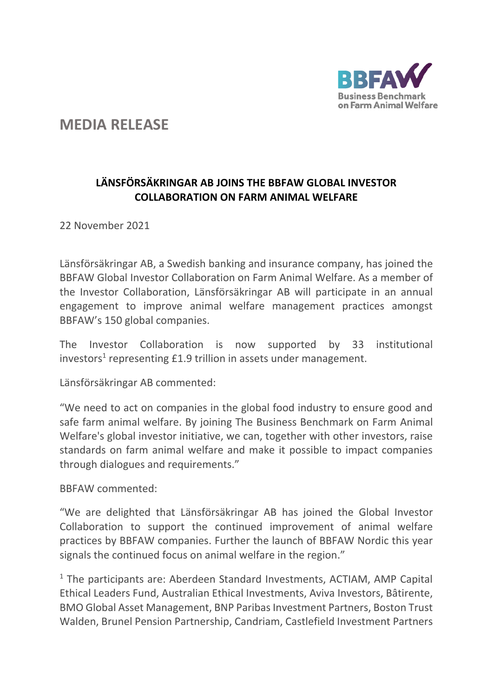

## **MEDIA RELEASE**

## **LÄNSFÖRSÄKRINGAR AB JOINS THE BBFAW GLOBAL INVESTOR COLLABORATION ON FARM ANIMAL WELFARE**

22 November 2021

Länsförsäkringar AB, a Swedish banking and insurance company, has joined the BBFAW Global Investor Collaboration on Farm Animal Welfare. As a member of the Investor Collaboration, Länsförsäkringar AB will participate in an annual engagement to improve animal welfare management practices amongst BBFAW's 150 global companies.

The Investor Collaboration is now supported by 33 institutional investors<sup>1</sup> representing  $£1.9$  trillion in assets under management.

Länsförsäkringar AB commented:

"We need to act on companies in the global food industry to ensure good and safe farm animal welfare. By joining The Business Benchmark on Farm Animal Welfare's global investor initiative, we can, together with other investors, raise standards on farm animal welfare and make it possible to impact companies through dialogues and requirements."

BBFAW commented:

"We are delighted that Länsförsäkringar AB has joined the Global Investor Collaboration to support the continued improvement of animal welfare practices by BBFAW companies. Further the launch of BBFAW Nordic this year signals the continued focus on animal welfare in the region."

 $1$  The participants are: Aberdeen Standard Investments, ACTIAM, AMP Capital Ethical Leaders Fund, Australian Ethical Investments, Aviva Investors, Bâtirente, BMO Global Asset Management, BNP Paribas Investment Partners, Boston Trust Walden, Brunel Pension Partnership, Candriam, Castlefield Investment Partners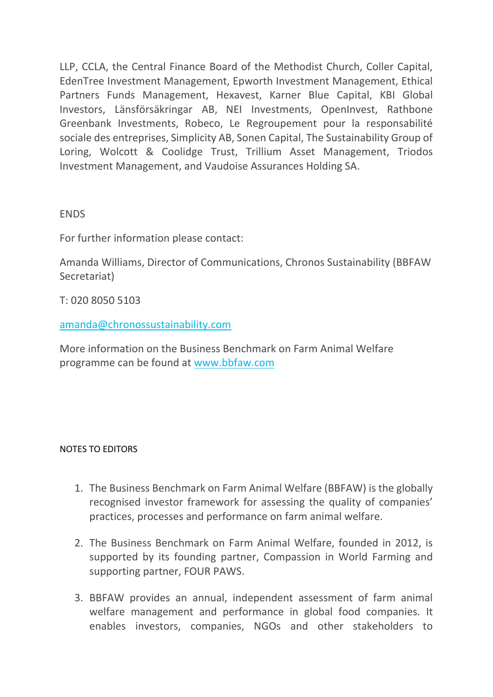LLP, CCLA, the Central Finance Board of the Methodist Church, Coller Capital, EdenTree Investment Management, Epworth Investment Management, Ethical Partners Funds Management, Hexavest, Karner Blue Capital, KBI Global Investors, Länsförsäkringar AB, NEI Investments, OpenInvest, Rathbone Greenbank Investments, Robeco, Le Regroupement pour la responsabilité sociale des entreprises, Simplicity AB, Sonen Capital, The Sustainability Group of Loring, Wolcott & Coolidge Trust, Trillium Asset Management, Triodos Investment Management, and Vaudoise Assurances Holding SA.

**FNDS** 

For further information please contact:

Amanda Williams, Director of Communications, Chronos Sustainability (BBFAW Secretariat)

T: 020 8050 5103

[amanda@chronossustainability.com](mailto:amanda@chronossustainability.com)

More information on the Business Benchmark on Farm Animal Welfare programme can be found at [www.bbfaw.com](http://www.bbfaw.com/)

## NOTES TO EDITORS

- 1. The Business Benchmark on Farm Animal Welfare (BBFAW) is the globally recognised investor framework for assessing the quality of companies' practices, processes and performance on farm animal welfare.
- 2. The Business Benchmark on Farm Animal Welfare, founded in 2012, is supported by its founding partner, Compassion in World Farming and supporting partner, FOUR PAWS.
- 3. BBFAW provides an annual, independent assessment of farm animal welfare management and performance in global food companies. It enables investors, companies, NGOs and other stakeholders to